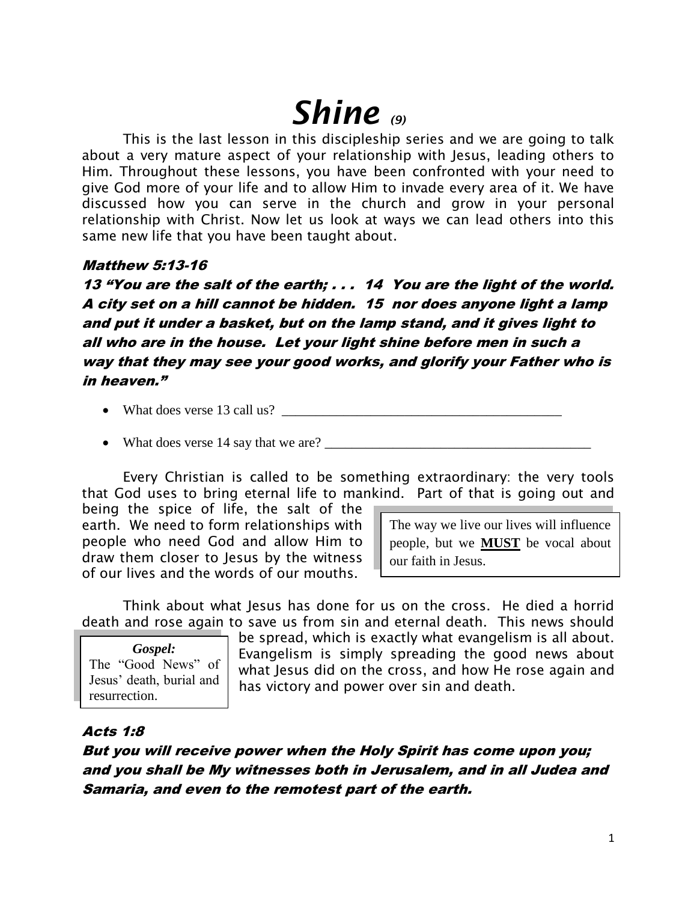# *Shine (9)*

This is the last lesson in this discipleship series and we are going to talk about a very mature aspect of your relationship with Jesus, leading others to Him. Throughout these lessons, you have been confronted with your need to give God more of your life and to allow Him to invade every area of it. We have discussed how you can serve in the church and grow in your personal relationship with Christ. Now let us look at ways we can lead others into this same new life that you have been taught about.

## Matthew 5:13-16

13 "You are the salt of the earth; . . . 14 You are the light of the world. A city set on a hill cannot be hidden. 15 nor does anyone light a lamp and put it under a basket, but on the lamp stand, and it gives light to all who are in the house. Let your light shine before men in such a way that they may see your good works, and glorify your Father who is in heaven."

- What does verse 13 call us?  $\Box$
- What does verse 14 say that we are?

Every Christian is called to be something extraordinary: the very tools that God uses to bring eternal life to mankind. Part of that is going out and

being the spice of life, the salt of the earth. We need to form relationships with people who need God and allow Him to draw them closer to Jesus by the witness of our lives and the words of our mouths.

The way we live our lives will influence people, but we **MUST** be vocal about our faith in Jesus.

Think about what Jesus has done for us on the cross. He died a horrid death and rose again to save us from sin and eternal death. This news should

*Gospel:* The "Good News" of Jesus' death, burial and resurrection.

be spread, which is exactly what evangelism is all about. Evangelism is simply spreading the good news about what Jesus did on the cross, and how He rose again and has victory and power over sin and death.

# Acts 1:8

But you will receive power when the Holy Spirit has come upon you; and you shall be My witnesses both in Jerusalem, and in all Judea and Samaria, and even to the remotest part of the earth.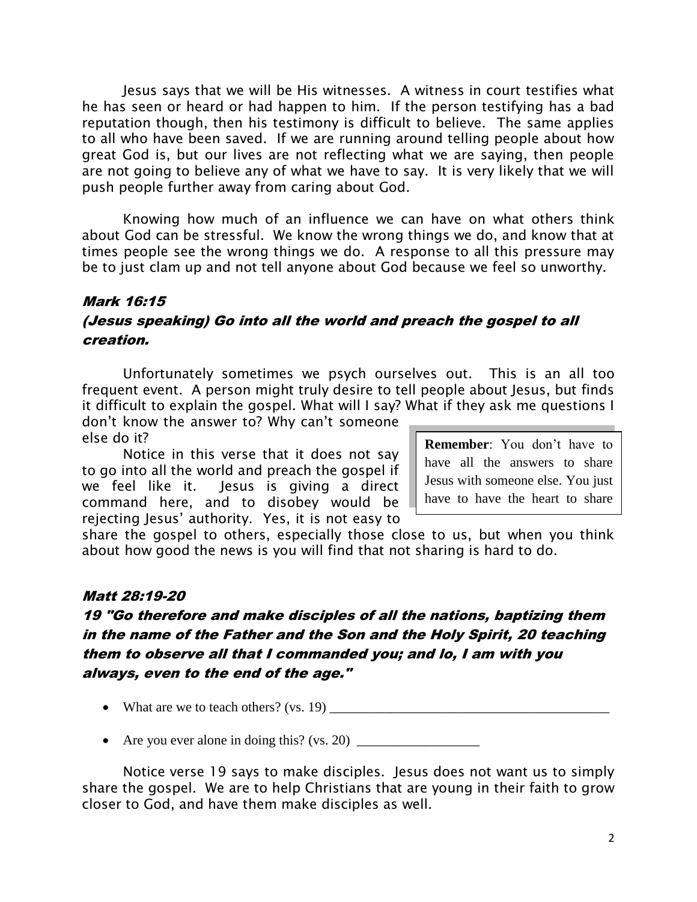Jesus says that we will be His witnesses. A witness in court testifies what he has seen or heard or had happen to him. If the person testifying has a bad reputation though, then his testimony is difficult to believe. The same applies to all who have been saved. If we are running around telling people about how great God is, but our lives are not reflecting what we are saying, then people are not going to believe any of what we have to say. It is very likely that we will push people further away from caring about God.

Knowing how much of an influence we can have on what others think about God can be stressful. We know the wrong things we do, and know that at times people see the wrong things we do. A response to all this pressure may be to just clam up and not tell anyone about God because we feel so unworthy.

### Mark 16:15

# (Jesus speaking) Go into all the world and preach the gospel to all creation.

Unfortunately sometimes we psych ourselves out. This is an all too frequent event. A person might truly desire to tell people about Jesus, but finds it difficult to explain the gospel. What will I say? What if they ask me questions I

don't know the answer to? Why can't someone else do it?

Notice in this verse that it does not say to go into all the world and preach the gospel if we feel like it. Jesus is giving a direct command here, and to disobey would be rejecting Jesus' authority. Yes, it is not easy to

**Remember**: You don't have to have all the answers to share Jesus with someone else. You just have to have the heart to share

Him.

share the gospel to others, especially those close to us, but when you think about how good the news is you will find that not sharing is hard to do.

## Matt 28:19-20

# 19 "Go therefore and make disciples of all the nations, baptizing them in the name of the Father and the Son and the Holy Spirit, 20 teaching them to observe all that I commanded you; and lo, I am with you always, even to the end of the age."

- What are we to teach others? (vs.  $19$ )  $\qquad \qquad$
- Are you ever alone in doing this? (vs. 20) \_\_\_\_\_\_\_\_\_\_\_\_\_\_\_\_\_\_

Notice verse 19 says to make disciples. Jesus does not want us to simply share the gospel. We are to help Christians that are young in their faith to grow closer to God, and have them make disciples as well.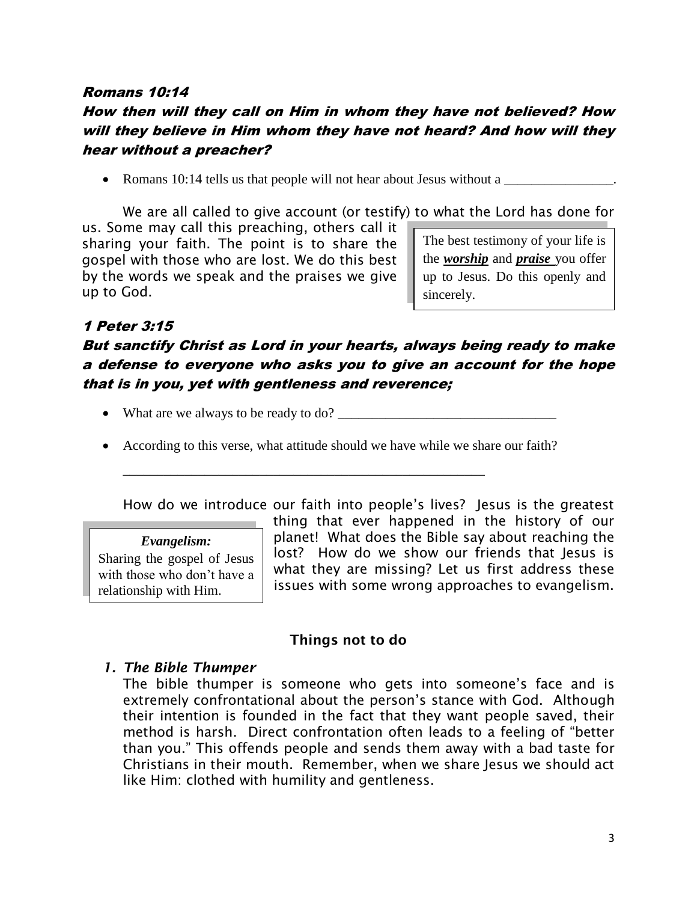# Romans 10:14 How then will they call on Him in whom they have not believed? How will they believe in Him whom they have not heard? And how will they hear without a preacher?

• Romans 10:14 tells us that people will not hear about Jesus without a

The best testimony of your life is We are all called to give account (or testify) to what the Lord has done for us. Some may call this preaching, others call it

sharing your faith. The point is to share the gospel with those who are lost. We do this best by the words we speak and the praises we give up to God.

the *worship* and *praise* you offer up to Jesus. Do this openly and sincerely.

# 1 Peter 3:15

# But sanctify Christ as Lord in your hearts, always being ready to make a defense to everyone who asks you to give an account for the hope that is in you, yet with gentleness and reverence;

• What are we always to be ready to do?  $\Box$ 

\_\_\_\_\_\_\_\_\_\_\_\_\_\_\_\_\_\_\_\_\_\_\_\_\_\_\_\_\_\_\_\_\_\_\_\_\_\_\_\_\_\_\_\_\_\_\_\_\_\_\_\_\_

According to this verse, what attitude should we have while we share our faith?

How do we introduce our faith into people's lives? Jesus is the greatest

#### *Evangelism:*

Sharing the gospel of Jesus with those who don't have a relationship with Him.

thing that ever happened in the history of our planet! What does the Bible say about reaching the lost? How do we show our friends that Jesus is what they are missing? Let us first address these issues with some wrong approaches to evangelism.

## **Things not to do**

## *1. The Bible Thumper*

The bible thumper is someone who gets into someone's face and is extremely confrontational about the person's stance with God. Although their intention is founded in the fact that they want people saved, their method is harsh. Direct confrontation often leads to a feeling of "better than you." This offends people and sends them away with a bad taste for Christians in their mouth. Remember, when we share Jesus we should act like Him: clothed with humility and gentleness.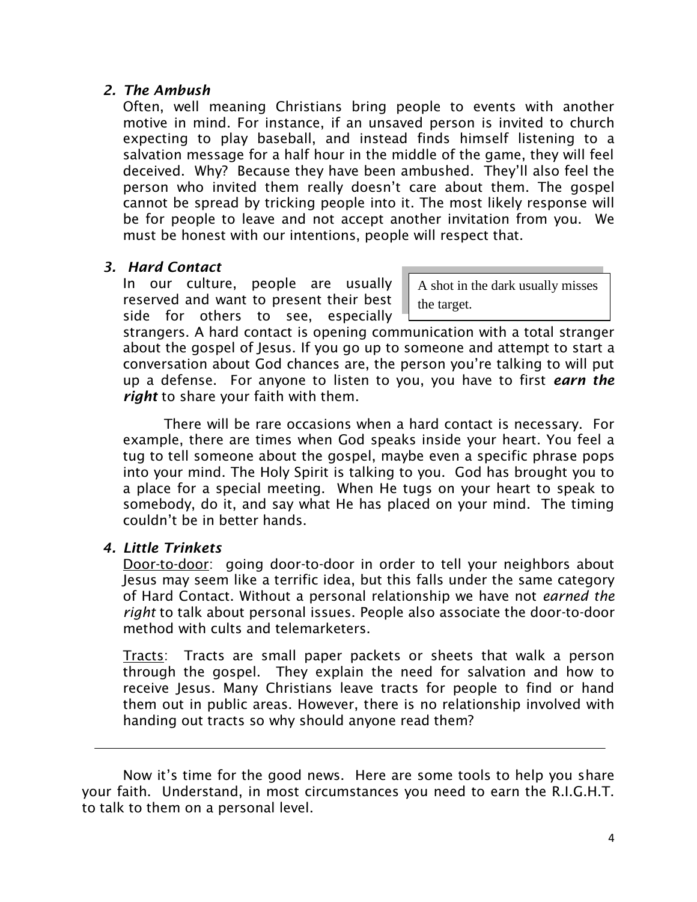#### *2. The Ambush*

Often, well meaning Christians bring people to events with another motive in mind. For instance, if an unsaved person is invited to church expecting to play baseball, and instead finds himself listening to a salvation message for a half hour in the middle of the game, they will feel deceived. Why? Because they have been ambushed. They'll also feel the person who invited them really doesn't care about them. The gospel cannot be spread by tricking people into it. The most likely response will be for people to leave and not accept another invitation from you. We must be honest with our intentions, people will respect that.

#### *3. Hard Contact*

In our culture, people are usually reserved and want to present their best side for others to see, especially

A shot in the dark usually misses the target.

strangers. A hard contact is opening communication with a total stranger about the gospel of Jesus. If you go up to someone and attempt to start a conversation about God chances are, the person you're talking to will put up a defense. For anyone to listen to you, you have to first *earn the right* to share your faith with them.

There will be rare occasions when a hard contact is necessary. For example, there are times when God speaks inside your heart. You feel a tug to tell someone about the gospel, maybe even a specific phrase pops into your mind. The Holy Spirit is talking to you. God has brought you to a place for a special meeting. When He tugs on your heart to speak to somebody, do it, and say what He has placed on your mind. The timing couldn't be in better hands.

## *4. Little Trinkets*

Door-to-door: going door-to-door in order to tell your neighbors about Jesus may seem like a terrific idea, but this falls under the same category of Hard Contact. Without a personal relationship we have not *earned the right* to talk about personal issues. People also associate the door-to-door method with cults and telemarketers.

Tracts: Tracts are small paper packets or sheets that walk a person through the gospel. They explain the need for salvation and how to receive Jesus. Many Christians leave tracts for people to find or hand them out in public areas. However, there is no relationship involved with handing out tracts so why should anyone read them?

Now it's time for the good news. Here are some tools to help you share your faith. Understand, in most circumstances you need to earn the R.I.G.H.T. to talk to them on a personal level.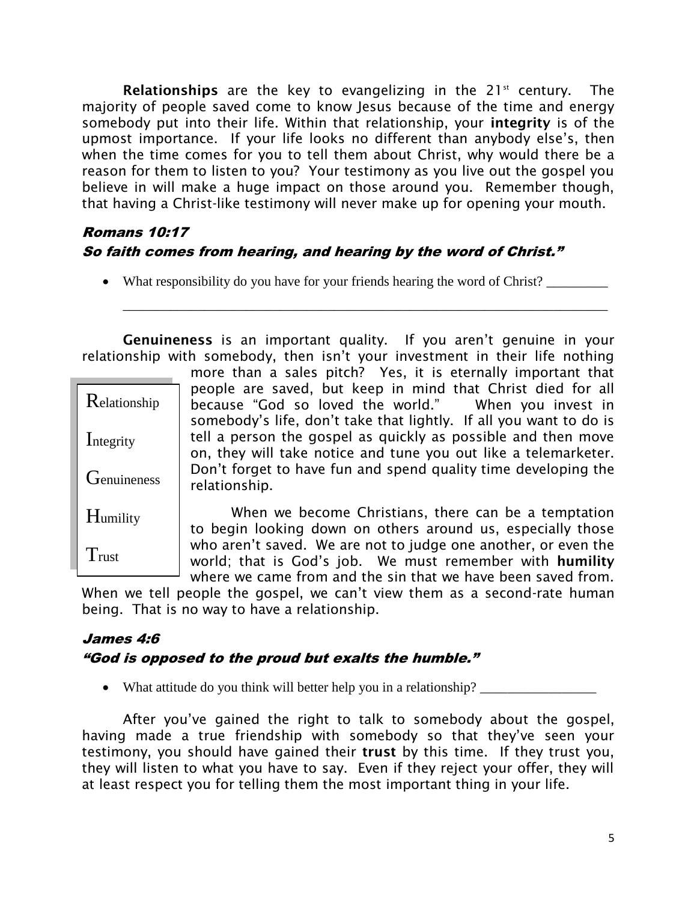**Relationships** are the key to evangelizing in the 21<sup>st</sup> century. The majority of people saved come to know Jesus because of the time and energy somebody put into their life. Within that relationship, your **integrity** is of the upmost importance. If your life looks no different than anybody else's, then when the time comes for you to tell them about Christ, why would there be a reason for them to listen to you? Your testimony as you live out the gospel you believe in will make a huge impact on those around you. Remember though, that having a Christ-like testimony will never make up for opening your mouth.

# Romans 10:17 So faith comes from hearing, and hearing by the word of Christ."

• What responsibility do you have for your friends hearing the word of Christ?

\_\_\_\_\_\_\_\_\_\_\_\_\_\_\_\_\_\_\_\_\_\_\_\_\_\_\_\_\_\_\_\_\_\_\_\_\_\_\_\_\_\_\_\_\_\_\_\_\_\_\_\_\_\_\_\_\_\_\_\_\_\_\_\_\_\_\_\_\_\_\_

**Genuineness** is an important quality. If you aren't genuine in your relationship with somebody, then isn't your investment in their life nothing

|                     | more than a sales pitch? Yes, it is eternally important that                                                                                                                                           |
|---------------------|--------------------------------------------------------------------------------------------------------------------------------------------------------------------------------------------------------|
| Relationship        | people are saved, but keep in mind that Christ died for all<br>because "God so loved the world." When you invest in                                                                                    |
| Integrity           | somebody's life, don't take that lightly. If all you want to do is<br>tell a person the gospel as quickly as possible and then move<br>on, they will take notice and tune you out like a telemarketer. |
| <b>G</b> enuineness | Don't forget to have fun and spend quality time developing the<br>relationship.                                                                                                                        |
| Humility            | When we become Christians, there can be a temptation<br>to begin looking down on others around us, especially those                                                                                    |
| Trust               | who aren't saved. We are not to judge one another, or even the<br>world; that is God's job. We must remember with humility                                                                             |

 $^{\perp}$  where we came from and the sin that we have been saved from. When we tell people the gospel, we can't view them as a second-rate human being. That is no way to have a relationship.

# James 4:6 "God is opposed to the proud but exalts the humble."

• What attitude do you think will better help you in a relationship?

After you've gained the right to talk to somebody about the gospel, having made a true friendship with somebody so that they've seen your testimony, you should have gained their **trust** by this time. If they trust you, they will listen to what you have to say. Even if they reject your offer, they will at least respect you for telling them the most important thing in your life.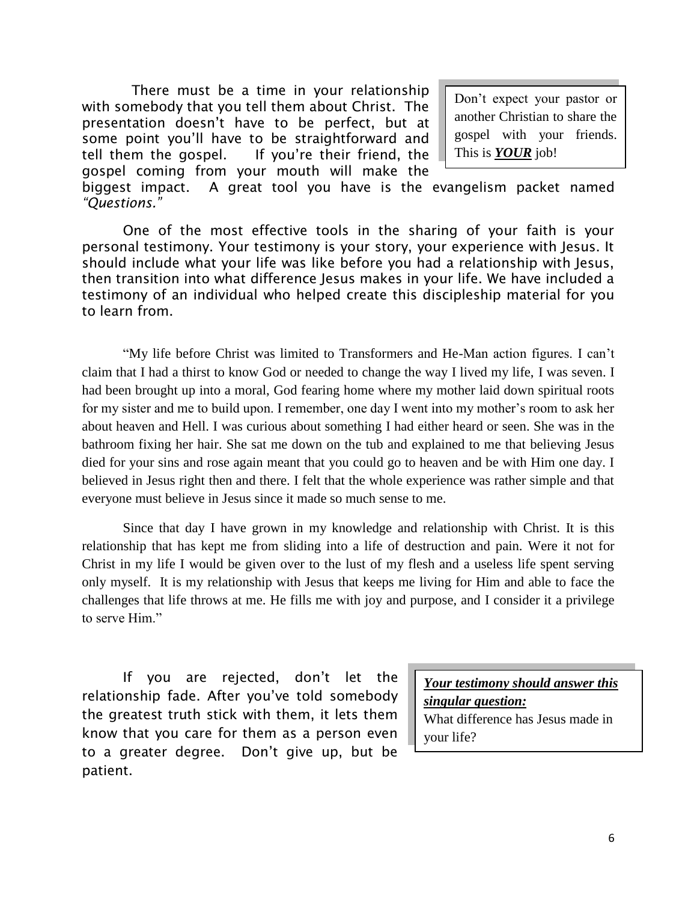There must be a time in your relationship with somebody that you tell them about Christ. The presentation doesn't have to be perfect, but at some point you'll have to be straightforward and tell them the gospel. If you're their friend, the gospel coming from your mouth will make the

Don't expect your pastor or another Christian to share the gospel with your friends. This is *YOUR* job!

biggest impact. A great tool you have is the evangelism packet named *"Questions."*

One of the most effective tools in the sharing of your faith is your personal testimony. Your testimony is your story, your experience with Jesus. It should include what your life was like before you had a relationship with Jesus, then transition into what difference Jesus makes in your life. We have included a testimony of an individual who helped create this discipleship material for you to learn from.

"My life before Christ was limited to Transformers and He-Man action figures. I can't claim that I had a thirst to know God or needed to change the way I lived my life, I was seven. I had been brought up into a moral, God fearing home where my mother laid down spiritual roots for my sister and me to build upon. I remember, one day I went into my mother's room to ask her about heaven and Hell. I was curious about something I had either heard or seen. She was in the bathroom fixing her hair. She sat me down on the tub and explained to me that believing Jesus died for your sins and rose again meant that you could go to heaven and be with Him one day. I believed in Jesus right then and there. I felt that the whole experience was rather simple and that everyone must believe in Jesus since it made so much sense to me.

Since that day I have grown in my knowledge and relationship with Christ. It is this relationship that has kept me from sliding into a life of destruction and pain. Were it not for Christ in my life I would be given over to the lust of my flesh and a useless life spent serving only myself. It is my relationship with Jesus that keeps me living for Him and able to face the challenges that life throws at me. He fills me with joy and purpose, and I consider it a privilege to serve Him."

If you are rejected, don't let the relationship fade. After you've told somebody the greatest truth stick with them, it lets them know that you care for them as a person even to a greater degree. Don't give up, but be patient.

*Your testimony should answer this singular question:* What difference has Jesus made in your life?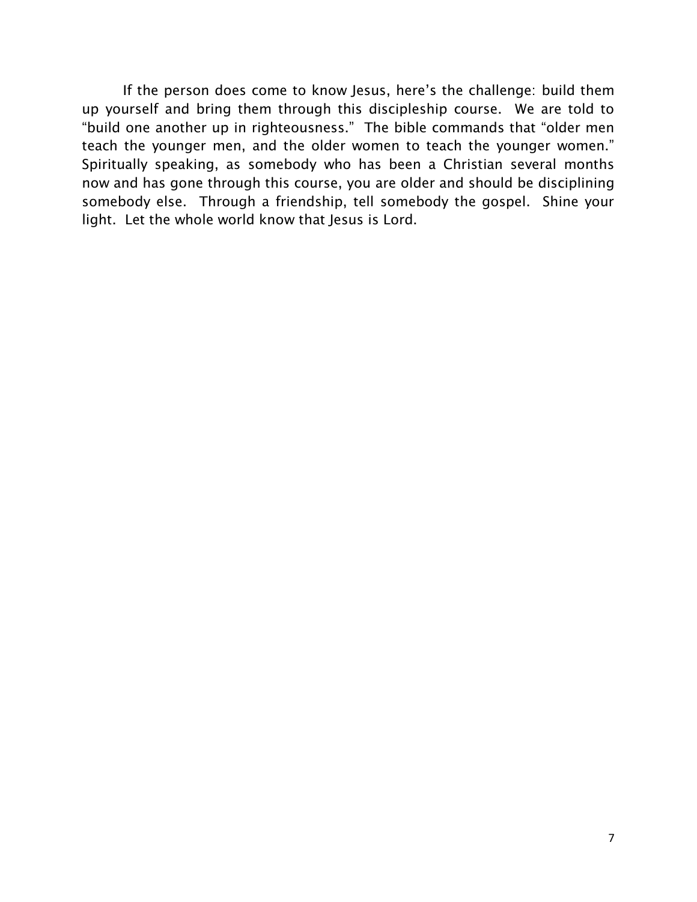If the person does come to know Jesus, here's the challenge: build them up yourself and bring them through this discipleship course. We are told to "build one another up in righteousness." The bible commands that "older men teach the younger men, and the older women to teach the younger women." Spiritually speaking, as somebody who has been a Christian several months now and has gone through this course, you are older and should be disciplining somebody else. Through a friendship, tell somebody the gospel. Shine your light. Let the whole world know that Jesus is Lord.